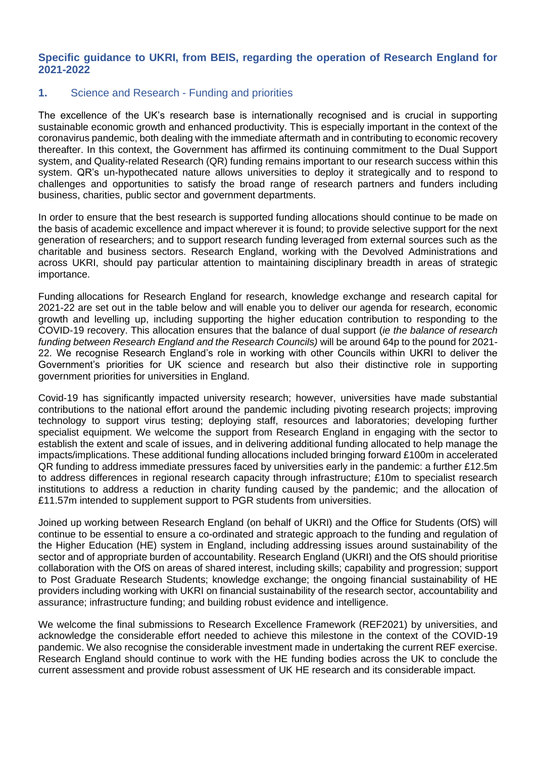### **Specific guidance to UKRI, from BEIS, regarding the operation of Research England for 2021-2022**

### **1.** Science and Research - Funding and priorities

The excellence of the UK's research base is internationally recognised and is crucial in supporting sustainable economic growth and enhanced productivity. This is especially important in the context of the coronavirus pandemic, both dealing with the immediate aftermath and in contributing to economic recovery thereafter. In this context, the Government has affirmed its continuing commitment to the Dual Support system, and Quality-related Research (QR) funding remains important to our research success within this system. QR's un-hypothecated nature allows universities to deploy it strategically and to respond to challenges and opportunities to satisfy the broad range of research partners and funders including business, charities, public sector and government departments.

In order to ensure that the best research is supported funding allocations should continue to be made on the basis of academic excellence and impact wherever it is found; to provide selective support for the next generation of researchers; and to support research funding leveraged from external sources such as the charitable and business sectors. Research England, working with the Devolved Administrations and across UKRI, should pay particular attention to maintaining disciplinary breadth in areas of strategic importance.

Funding allocations for Research England for research, knowledge exchange and research capital for 2021-22 are set out in the table below and will enable you to deliver our agenda for research, economic growth and levelling up, including supporting the higher education contribution to responding to the COVID-19 recovery. This allocation ensures that the balance of dual support (*ie the balance of research funding between Research England and the Research Councils)* will be around 64p to the pound for 2021- 22. We recognise Research England's role in working with other Councils within UKRI to deliver the Government's priorities for UK science and research but also their distinctive role in supporting government priorities for universities in England.

Covid-19 has significantly impacted university research; however, universities have made substantial contributions to the national effort around the pandemic including pivoting research projects; improving technology to support virus testing; deploying staff, resources and laboratories; developing further specialist equipment. We welcome the support from Research England in engaging with the sector to establish the extent and scale of issues, and in delivering additional funding allocated to help manage the impacts/implications. These additional funding allocations included bringing forward £100m in accelerated QR funding to address immediate pressures faced by universities early in the pandemic: a further £12.5m to address differences in regional research capacity through infrastructure; £10m to specialist research institutions to address a reduction in charity funding caused by the pandemic; and the allocation of £11.57m intended to supplement support to PGR students from universities.

Joined up working between Research England (on behalf of UKRI) and the Office for Students (OfS) will continue to be essential to ensure a co-ordinated and strategic approach to the funding and regulation of the Higher Education (HE) system in England, including addressing issues around sustainability of the sector and of appropriate burden of accountability. Research England (UKRI) and the OfS should prioritise collaboration with the OfS on areas of shared interest, including skills; capability and progression; support to Post Graduate Research Students; knowledge exchange; the ongoing financial sustainability of HE providers including working with UKRI on financial sustainability of the research sector, accountability and assurance; infrastructure funding; and building robust evidence and intelligence.

We welcome the final submissions to Research Excellence Framework (REF2021) by universities, and acknowledge the considerable effort needed to achieve this milestone in the context of the COVID-19 pandemic. We also recognise the considerable investment made in undertaking the current REF exercise. Research England should continue to work with the HE funding bodies across the UK to conclude the current assessment and provide robust assessment of UK HE research and its considerable impact.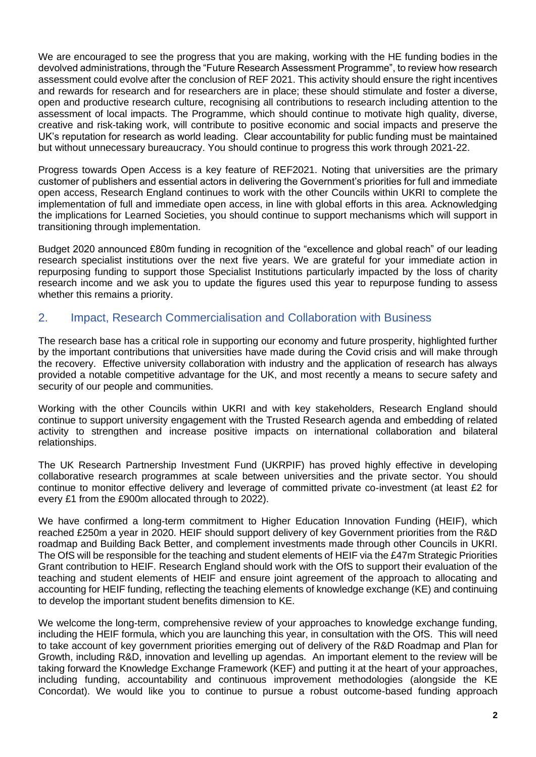We are encouraged to see the progress that you are making, working with the HE funding bodies in the devolved administrations, through the "Future Research Assessment Programme", to review how research assessment could evolve after the conclusion of REF 2021. This activity should ensure the right incentives and rewards for research and for researchers are in place; these should stimulate and foster a diverse, open and productive research culture, recognising all contributions to research including attention to the assessment of local impacts. The Programme, which should continue to motivate high quality, diverse, creative and risk-taking work, will contribute to positive economic and social impacts and preserve the UK's reputation for research as world leading. Clear accountability for public funding must be maintained but without unnecessary bureaucracy. You should continue to progress this work through 2021-22.

Progress towards Open Access is a key feature of REF2021. Noting that universities are the primary customer of publishers and essential actors in delivering the Government's priorities for full and immediate open access, Research England continues to work with the other Councils within UKRI to complete the implementation of full and immediate open access, in line with global efforts in this area. Acknowledging the implications for Learned Societies, you should continue to support mechanisms which will support in transitioning through implementation.

Budget 2020 announced £80m funding in recognition of the "excellence and global reach" of our leading research specialist institutions over the next five years. We are grateful for your immediate action in repurposing funding to support those Specialist Institutions particularly impacted by the loss of charity research income and we ask you to update the figures used this year to repurpose funding to assess whether this remains a priority.

### 2. Impact, Research Commercialisation and Collaboration with Business

The research base has a critical role in supporting our economy and future prosperity, highlighted further by the important contributions that universities have made during the Covid crisis and will make through the recovery. Effective university collaboration with industry and the application of research has always provided a notable competitive advantage for the UK, and most recently a means to secure safety and security of our people and communities.

Working with the other Councils within UKRI and with key stakeholders, Research England should continue to support university engagement with the Trusted Research agenda and embedding of related activity to strengthen and increase positive impacts on international collaboration and bilateral relationships.

The UK Research Partnership Investment Fund (UKRPIF) has proved highly effective in developing collaborative research programmes at scale between universities and the private sector. You should continue to monitor effective delivery and leverage of committed private co-investment (at least £2 for every £1 from the £900m allocated through to 2022).

We have confirmed a long-term commitment to Higher Education Innovation Funding (HEIF), which reached £250m a year in 2020. HEIF should support delivery of key Government priorities from the R&D roadmap and Building Back Better, and complement investments made through other Councils in UKRI. The OfS will be responsible for the teaching and student elements of HEIF via the £47m Strategic Priorities Grant contribution to HEIF. Research England should work with the OfS to support their evaluation of the teaching and student elements of HEIF and ensure joint agreement of the approach to allocating and accounting for HEIF funding, reflecting the teaching elements of knowledge exchange (KE) and continuing to develop the important student benefits dimension to KE.

We welcome the long-term, comprehensive review of your approaches to knowledge exchange funding, including the HEIF formula, which you are launching this year, in consultation with the OfS. This will need to take account of key government priorities emerging out of delivery of the R&D Roadmap and Plan for Growth, including R&D, innovation and levelling up agendas. An important element to the review will be taking forward the Knowledge Exchange Framework (KEF) and putting it at the heart of your approaches, including funding, accountability and continuous improvement methodologies (alongside the KE Concordat). We would like you to continue to pursue a robust outcome-based funding approach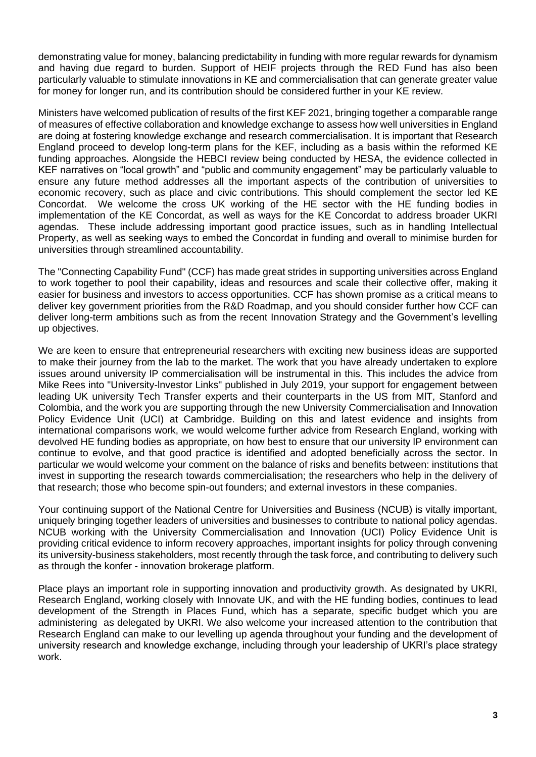demonstrating value for money, balancing predictability in funding with more regular rewards for dynamism and having due regard to burden. Support of HEIF projects through the RED Fund has also been particularly valuable to stimulate innovations in KE and commercialisation that can generate greater value for money for longer run, and its contribution should be considered further in your KE review.

Ministers have welcomed publication of results of the first KEF 2021, bringing together a comparable range of measures of effective collaboration and knowledge exchange to assess how well universities in England are doing at fostering knowledge exchange and research commercialisation. It is important that Research England proceed to develop long-term plans for the KEF, including as a basis within the reformed KE funding approaches. Alongside the HEBCI review being conducted by HESA, the evidence collected in KEF narratives on "local growth" and "public and community engagement" may be particularly valuable to ensure any future method addresses all the important aspects of the contribution of universities to economic recovery, such as place and civic contributions. This should complement the sector led KE Concordat. We welcome the cross UK working of the HE sector with the HE funding bodies in implementation of the KE Concordat, as well as ways for the KE Concordat to address broader UKRI agendas. These include addressing important good practice issues, such as in handling Intellectual Property, as well as seeking ways to embed the Concordat in funding and overall to minimise burden for universities through streamlined accountability.

The "Connecting Capability Fund" (CCF) has made great strides in supporting universities across England to work together to pool their capability, ideas and resources and scale their collective offer, making it easier for business and investors to access opportunities. CCF has shown promise as a critical means to deliver key government priorities from the R&D Roadmap, and you should consider further how CCF can deliver long-term ambitions such as from the recent Innovation Strategy and the Government's levelling up objectives.

We are keen to ensure that entrepreneurial researchers with exciting new business ideas are supported to make their journey from the lab to the market. The work that you have already undertaken to explore issues around university lP commercialisation will be instrumental in this. This includes the advice from Mike Rees into "University-lnvestor Links" published in July 2019, your support for engagement between leading UK university Tech Transfer experts and their counterparts in the US from MlT, Stanford and Colombia, and the work you are supporting through the new University Commercialisation and Innovation Policy Evidence Unit (UCI) at Cambridge. Building on this and latest evidence and insights from international comparisons work, we would welcome further advice from Research England, working with devolved HE funding bodies as appropriate, on how best to ensure that our university lP environment can continue to evolve, and that good practice is identified and adopted beneficially across the sector. In particular we would welcome your comment on the balance of risks and benefits between: institutions that invest in supporting the research towards commercialisation; the researchers who help in the delivery of that research; those who become spin-out founders; and external investors in these companies.

Your continuing support of the National Centre for Universities and Business (NCUB) is vitally important, uniquely bringing together leaders of universities and businesses to contribute to national policy agendas. NCUB working with the University Commercialisation and Innovation (UCI) Policy Evidence Unit is providing critical evidence to inform recovery approaches, important insights for policy through convening its university-business stakeholders, most recently through the task force, and contributing to delivery such as through the konfer - innovation brokerage platform.

Place plays an important role in supporting innovation and productivity growth. As designated by UKRI, Research England, working closely with Innovate UK, and with the HE funding bodies, continues to lead development of the Strength in Places Fund, which has a separate, specific budget which you are administering as delegated by UKRI. We also welcome your increased attention to the contribution that Research England can make to our levelling up agenda throughout your funding and the development of university research and knowledge exchange, including through your leadership of UKRI's place strategy work.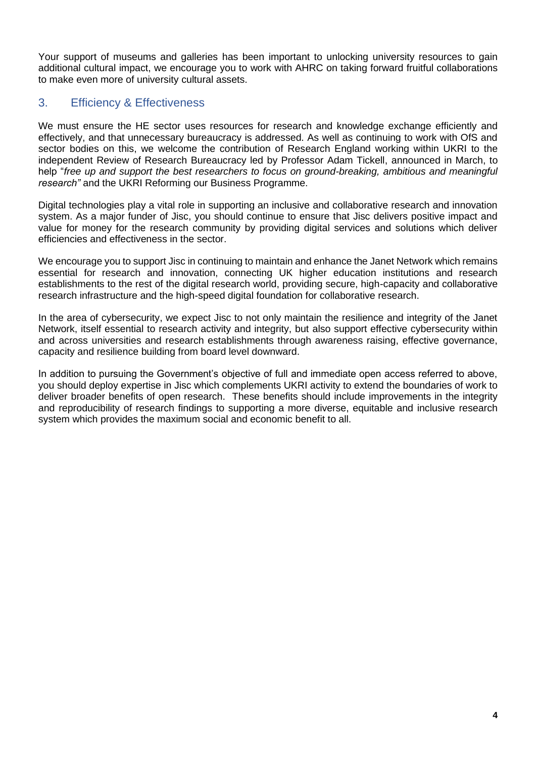Your support of museums and galleries has been important to unlocking university resources to gain additional cultural impact, we encourage you to work with AHRC on taking forward fruitful collaborations to make even more of university cultural assets.

## 3. Efficiency & Effectiveness

We must ensure the HE sector uses resources for research and knowledge exchange efficiently and effectively, and that unnecessary bureaucracy is addressed. As well as continuing to work with OfS and sector bodies on this, we welcome the contribution of Research England working within UKRI to the independent Review of Research Bureaucracy led by Professor Adam Tickell, announced in March, to help "*free up and support the best researchers to focus on ground-breaking, ambitious and meaningful research"* and the UKRI Reforming our Business Programme.

Digital technologies play a vital role in supporting an inclusive and collaborative research and innovation system. As a major funder of Jisc, you should continue to ensure that Jisc delivers positive impact and value for money for the research community by providing digital services and solutions which deliver efficiencies and effectiveness in the sector.

We encourage you to support Jisc in continuing to maintain and enhance the Janet Network which remains essential for research and innovation, connecting UK higher education institutions and research establishments to the rest of the digital research world, providing secure, high-capacity and collaborative research infrastructure and the high-speed digital foundation for collaborative research.

In the area of cybersecurity, we expect Jisc to not only maintain the resilience and integrity of the Janet Network, itself essential to research activity and integrity, but also support effective cybersecurity within and across universities and research establishments through awareness raising, effective governance, capacity and resilience building from board level downward.

In addition to pursuing the Government's objective of full and immediate open access referred to above, you should deploy expertise in Jisc which complements UKRI activity to extend the boundaries of work to deliver broader benefits of open research. These benefits should include improvements in the integrity and reproducibility of research findings to supporting a more diverse, equitable and inclusive research system which provides the maximum social and economic benefit to all.